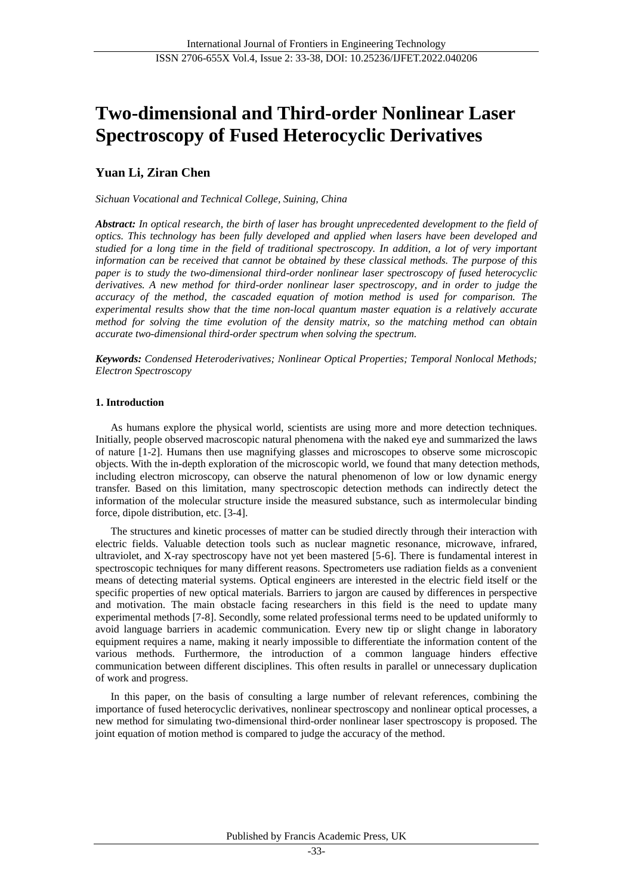# **Two-dimensional and Third-order Nonlinear Laser Spectroscopy of Fused Heterocyclic Derivatives**

# **Yuan Li, Ziran Chen**

*Sichuan Vocational and Technical College, Suining, China*

*Abstract: In optical research, the birth of laser has brought unprecedented development to the field of optics. This technology has been fully developed and applied when lasers have been developed and studied for a long time in the field of traditional spectroscopy. In addition, a lot of very important information can be received that cannot be obtained by these classical methods. The purpose of this paper is to study the two-dimensional third-order nonlinear laser spectroscopy of fused heterocyclic derivatives. A new method for third-order nonlinear laser spectroscopy, and in order to judge the accuracy of the method, the cascaded equation of motion method is used for comparison. The experimental results show that the time non-local quantum master equation is a relatively accurate method for solving the time evolution of the density matrix, so the matching method can obtain accurate two-dimensional third-order spectrum when solving the spectrum.*

*Keywords: Condensed Heteroderivatives; Nonlinear Optical Properties; Temporal Nonlocal Methods; Electron Spectroscopy*

# **1. Introduction**

As humans explore the physical world, scientists are using more and more detection techniques. Initially, people observed macroscopic natural phenomena with the naked eye and summarized the laws of nature [1-2]. Humans then use magnifying glasses and microscopes to observe some microscopic objects. With the in-depth exploration of the microscopic world, we found that many detection methods, including electron microscopy, can observe the natural phenomenon of low or low dynamic energy transfer. Based on this limitation, many spectroscopic detection methods can indirectly detect the information of the molecular structure inside the measured substance, such as intermolecular binding force, dipole distribution, etc. [3-4].

The structures and kinetic processes of matter can be studied directly through their interaction with electric fields. Valuable detection tools such as nuclear magnetic resonance, microwave, infrared, ultraviolet, and X-ray spectroscopy have not yet been mastered [5-6]. There is fundamental interest in spectroscopic techniques for many different reasons. Spectrometers use radiation fields as a convenient means of detecting material systems. Optical engineers are interested in the electric field itself or the specific properties of new optical materials. Barriers to jargon are caused by differences in perspective and motivation. The main obstacle facing researchers in this field is the need to update many experimental methods [7-8]. Secondly, some related professional terms need to be updated uniformly to avoid language barriers in academic communication. Every new tip or slight change in laboratory equipment requires a name, making it nearly impossible to differentiate the information content of the various methods. Furthermore, the introduction of a common language hinders effective communication between different disciplines. This often results in parallel or unnecessary duplication of work and progress.

In this paper, on the basis of consulting a large number of relevant references, combining the importance of fused heterocyclic derivatives, nonlinear spectroscopy and nonlinear optical processes, a new method for simulating two-dimensional third-order nonlinear laser spectroscopy is proposed. The joint equation of motion method is compared to judge the accuracy of the method.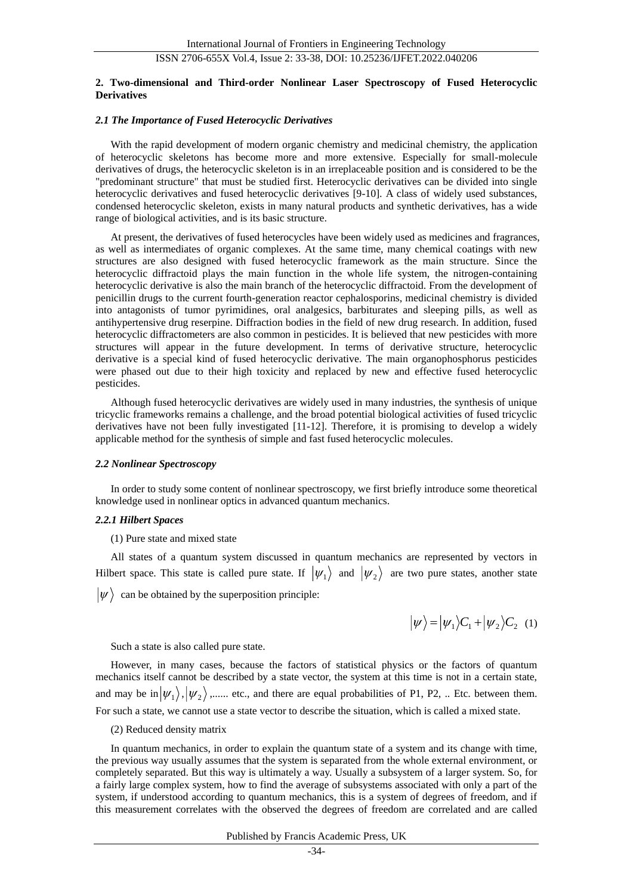# ISSN 2706-655X Vol.4, Issue 2: 33-38, DOI: 10.25236/IJFET.2022.040206

### **2. Two-dimensional and Third-order Nonlinear Laser Spectroscopy of Fused Heterocyclic Derivatives**

#### *2.1 The Importance of Fused Heterocyclic Derivatives*

With the rapid development of modern organic chemistry and medicinal chemistry, the application of heterocyclic skeletons has become more and more extensive. Especially for small-molecule derivatives of drugs, the heterocyclic skeleton is in an irreplaceable position and is considered to be the "predominant structure" that must be studied first. Heterocyclic derivatives can be divided into single heterocyclic derivatives and fused heterocyclic derivatives [9-10]. A class of widely used substances, condensed heterocyclic skeleton, exists in many natural products and synthetic derivatives, has a wide range of biological activities, and is its basic structure.

At present, the derivatives of fused heterocycles have been widely used as medicines and fragrances, as well as intermediates of organic complexes. At the same time, many chemical coatings with new structures are also designed with fused heterocyclic framework as the main structure. Since the heterocyclic diffractoid plays the main function in the whole life system, the nitrogen-containing heterocyclic derivative is also the main branch of the heterocyclic diffractoid. From the development of penicillin drugs to the current fourth-generation reactor cephalosporins, medicinal chemistry is divided into antagonists of tumor pyrimidines, oral analgesics, barbiturates and sleeping pills, as well as antihypertensive drug reserpine. Diffraction bodies in the field of new drug research. In addition, fused heterocyclic diffractometers are also common in pesticides. It is believed that new pesticides with more structures will appear in the future development. In terms of derivative structure, heterocyclic derivative is a special kind of fused heterocyclic derivative. The main organophosphorus pesticides were phased out due to their high toxicity and replaced by new and effective fused heterocyclic pesticides.

Although fused heterocyclic derivatives are widely used in many industries, the synthesis of unique tricyclic frameworks remains a challenge, and the broad potential biological activities of fused tricyclic derivatives have not been fully investigated [11-12]. Therefore, it is promising to develop a widely applicable method for the synthesis of simple and fast fused heterocyclic molecules.

#### *2.2 Nonlinear Spectroscopy*

In order to study some content of nonlinear spectroscopy, we first briefly introduce some theoretical knowledge used in nonlinear optics in advanced quantum mechanics.

#### *2.2.1 Hilbert Spaces*

(1) Pure state and mixed state

All states of a quantum system discussed in quantum mechanics are represented by vectors in Hilbert space. This state is called pure state. If  $|\psi_1\rangle$  and  $|\psi_2\rangle$  are two pure states, another state

 $|\psi\rangle$  can be obtained by the superposition principle:

$$
|\psi\rangle = |\psi_1\rangle C_1 + |\psi_2\rangle C_2 \quad (1)
$$

Such a state is also called pure state.

However, in many cases, because the factors of statistical physics or the factors of quantum mechanics itself cannot be described by a state vector, the system at this time is not in a certain state, and may be in  $|\psi_1\rangle, |\psi_2\rangle$ ,...... etc., and there are equal probabilities of P1, P2, .. Etc. between them. For such a state, we cannot use a state vector to describe the situation, which is called a mixed state.

#### (2) Reduced density matrix

In quantum mechanics, in order to explain the quantum state of a system and its change with time, the previous way usually assumes that the system is separated from the whole external environment, or completely separated. But this way is ultimately a way. Usually a subsystem of a larger system. So, for a fairly large complex system, how to find the average of subsystems associated with only a part of the system, if understood according to quantum mechanics, this is a system of degrees of freedom, and if this measurement correlates with the observed the degrees of freedom are correlated and are called

#### Published by Francis Academic Press, UK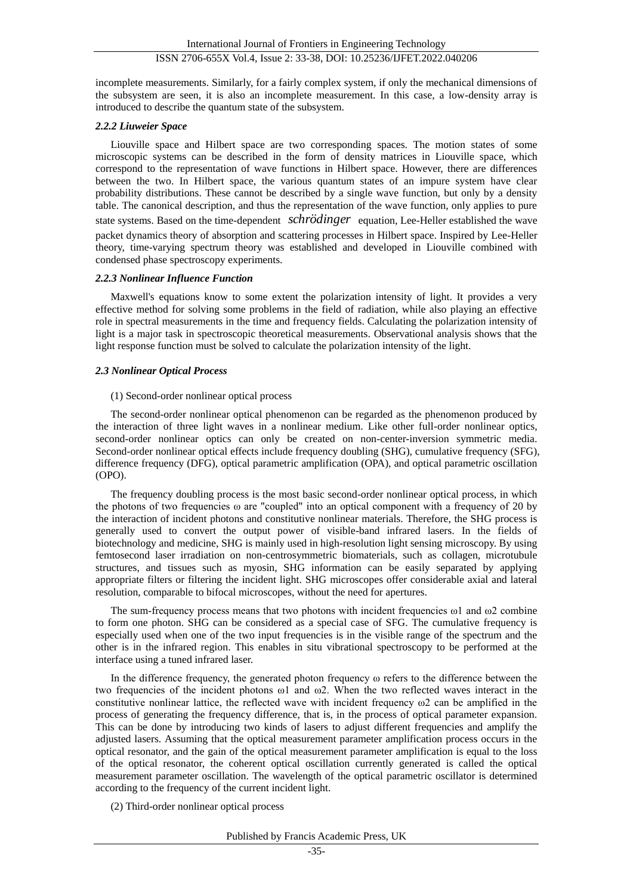incomplete measurements. Similarly, for a fairly complex system, if only the mechanical dimensions of the subsystem are seen, it is also an incomplete measurement. In this case, a low-density array is introduced to describe the quantum state of the subsystem.

# *2.2.2 Liuweier Space*

Liouville space and Hilbert space are two corresponding spaces. The motion states of some microscopic systems can be described in the form of density matrices in Liouville space, which correspond to the representation of wave functions in Hilbert space. However, there are differences between the two. In Hilbert space, the various quantum states of an impure system have clear probability distributions. These cannot be described by a single wave function, but only by a density table. The canonical description, and thus the representation of the wave function, only applies to pure state systems. Based on the time-dependent *schrödinger* equation, Lee-Heller established the wave

packet dynamics theory of absorption and scattering processes in Hilbert space. Inspired by Lee-Heller theory, time-varying spectrum theory was established and developed in Liouville combined with condensed phase spectroscopy experiments.

#### *2.2.3 Nonlinear Influence Function*

Maxwell's equations know to some extent the polarization intensity of light. It provides a very effective method for solving some problems in the field of radiation, while also playing an effective role in spectral measurements in the time and frequency fields. Calculating the polarization intensity of light is a major task in spectroscopic theoretical measurements. Observational analysis shows that the light response function must be solved to calculate the polarization intensity of the light.

### *2.3 Nonlinear Optical Process*

#### (1) Second-order nonlinear optical process

The second-order nonlinear optical phenomenon can be regarded as the phenomenon produced by the interaction of three light waves in a nonlinear medium. Like other full-order nonlinear optics, second-order nonlinear optics can only be created on non-center-inversion symmetric media. Second-order nonlinear optical effects include frequency doubling (SHG), cumulative frequency (SFG), difference frequency (DFG), optical parametric amplification (OPA), and optical parametric oscillation (OPO).

The frequency doubling process is the most basic second-order nonlinear optical process, in which the photons of two frequencies ω are "coupled" into an optical component with a frequency of 20 by the interaction of incident photons and constitutive nonlinear materials. Therefore, the SHG process is generally used to convert the output power of visible-band infrared lasers. In the fields of biotechnology and medicine, SHG is mainly used in high-resolution light sensing microscopy. By using femtosecond laser irradiation on non-centrosymmetric biomaterials, such as collagen, microtubule structures, and tissues such as myosin, SHG information can be easily separated by applying appropriate filters or filtering the incident light. SHG microscopes offer considerable axial and lateral resolution, comparable to bifocal microscopes, without the need for apertures.

The sum-frequency process means that two photons with incident frequencies  $\omega_1$  and  $\omega_2$  combine to form one photon. SHG can be considered as a special case of SFG. The cumulative frequency is especially used when one of the two input frequencies is in the visible range of the spectrum and the other is in the infrared region. This enables in situ vibrational spectroscopy to be performed at the interface using a tuned infrared laser.

In the difference frequency, the generated photon frequency ω refers to the difference between the two frequencies of the incident photons ω1 and ω2. When the two reflected waves interact in the constitutive nonlinear lattice, the reflected wave with incident frequency  $\omega$ 2 can be amplified in the process of generating the frequency difference, that is, in the process of optical parameter expansion. This can be done by introducing two kinds of lasers to adjust different frequencies and amplify the adjusted lasers. Assuming that the optical measurement parameter amplification process occurs in the optical resonator, and the gain of the optical measurement parameter amplification is equal to the loss of the optical resonator, the coherent optical oscillation currently generated is called the optical measurement parameter oscillation. The wavelength of the optical parametric oscillator is determined according to the frequency of the current incident light.

(2) Third-order nonlinear optical process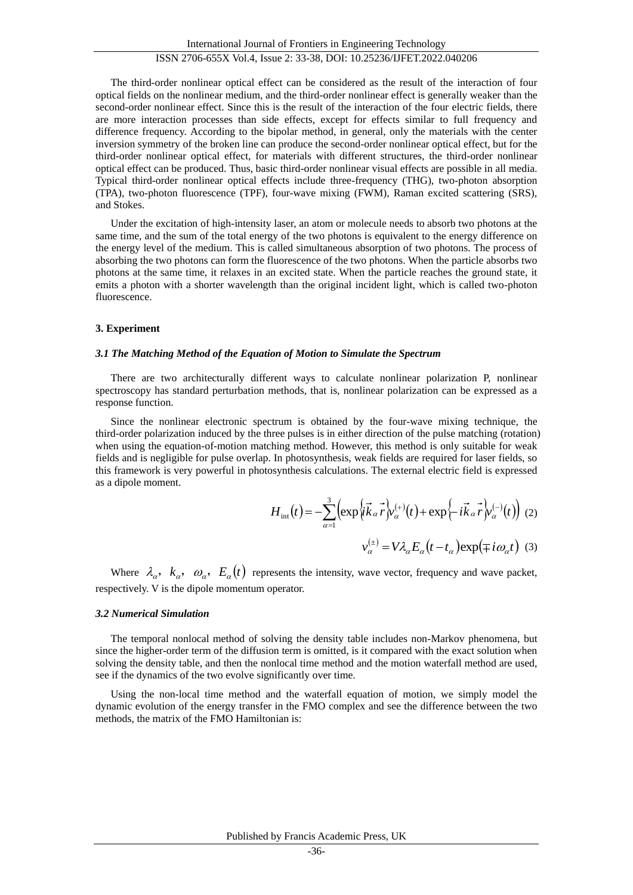The third-order nonlinear optical effect can be considered as the result of the interaction of four optical fields on the nonlinear medium, and the third-order nonlinear effect is generally weaker than the second-order nonlinear effect. Since this is the result of the interaction of the four electric fields, there are more interaction processes than side effects, except for effects similar to full frequency and difference frequency. According to the bipolar method, in general, only the materials with the center inversion symmetry of the broken line can produce the second-order nonlinear optical effect, but for the third-order nonlinear optical effect, for materials with different structures, the third-order nonlinear optical effect can be produced. Thus, basic third-order nonlinear visual effects are possible in all media. Typical third-order nonlinear optical effects include three-frequency (THG), two-photon absorption (TPA), two-photon fluorescence (TPF), four-wave mixing (FWM), Raman excited scattering (SRS), and Stokes.

Under the excitation of high-intensity laser, an atom or molecule needs to absorb two photons at the same time, and the sum of the total energy of the two photons is equivalent to the energy difference on the energy level of the medium. This is called simultaneous absorption of two photons. The process of absorbing the two photons can form the fluorescence of the two photons. When the particle absorbs two photons at the same time, it relaxes in an excited state. When the particle reaches the ground state, it emits a photon with a shorter wavelength than the original incident light, which is called two-photon fluorescence.

#### **3. Experiment**

### *3.1 The Matching Method of the Equation of Motion to Simulate the Spectrum*

There are two architecturally different ways to calculate nonlinear polarization P, nonlinear spectroscopy has standard perturbation methods, that is, nonlinear polarization can be expressed as a response function.

Since the nonlinear electronic spectrum is obtained by the four-wave mixing technique, the third-order polarization induced by the three pulses is in either direction of the pulse matching (rotation) when using the equation-of-motion matching method. However, this method is only suitable for weak fields and is negligible for pulse overlap. In photosynthesis, weak fields are required for laser fields, so this framework is very powerful in photosynthesis calculations. The external electric field is expressed as a dipole moment.

$$
H_{int}(t) = -\sum_{\alpha=1}^{3} \left( \exp\left\{ i\vec{k}_{\alpha} \vec{r} \right\}_{\alpha}^{(+)}(t) + \exp\left\{ -i\vec{k}_{\alpha} \vec{r} \right\}_{\alpha}^{(-)}(t) \right) (2)
$$

$$
v_{\alpha}^{(\pm)} = V \lambda_{\alpha} E_{\alpha} (t - t_{\alpha}) \exp\left(\mp i\omega_{\alpha} t\right) (3)
$$

Where  $\lambda_{\alpha}$ ,  $k_{\alpha}$ ,  $\omega_{\alpha}$ ,  $E_{\alpha}(t)$  represents the intensity, wave vector, frequency and wave packet, respectively. V is the dipole momentum operator.

#### *3.2 Numerical Simulation*

The temporal nonlocal method of solving the density table includes non-Markov phenomena, but since the higher-order term of the diffusion term is omitted, is it compared with the exact solution when solving the density table, and then the nonlocal time method and the motion waterfall method are used, see if the dynamics of the two evolve significantly over time.

Using the non-local time method and the waterfall equation of motion, we simply model the dynamic evolution of the energy transfer in the FMO complex and see the difference between the two methods, the matrix of the FMO Hamiltonian is: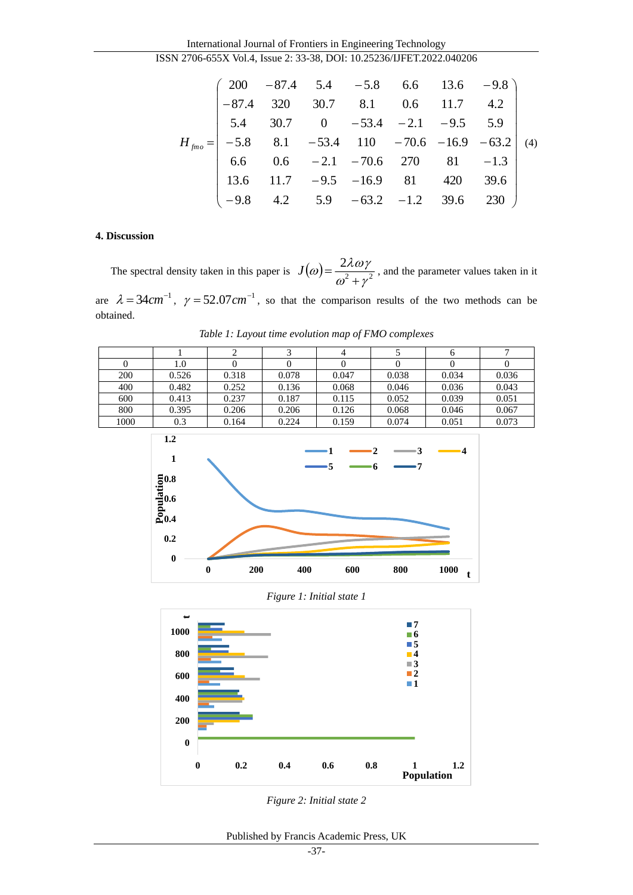International Journal of Frontiers in Engineering Technology ISSN 2706-655X Vol.4, Issue 2: 33-38, DOI: 10.25236/IJFET.2022.040206

$$
H_{\text{fmo}} = \begin{pmatrix} 200 & -87.4 & 5.4 & -5.8 & 6.6 & 13.6 & -9.8 \\ -87.4 & 320 & 30.7 & 8.1 & 0.6 & 11.7 & 4.2 \\ 5.4 & 30.7 & 0 & -53.4 & -2.1 & -9.5 & 5.9 \\ -5.8 & 8.1 & -53.4 & 110 & -70.6 & -16.9 & -63.2 \\ 6.6 & 0.6 & -2.1 & -70.6 & 270 & 81 & -1.3 \\ 13.6 & 11.7 & -9.5 & -16.9 & 81 & 420 & 39.6 \\ -9.8 & 4.2 & 5.9 & -63.2 & -1.2 & 39.6 & 230 \end{pmatrix}
$$
 (4)

# **4. Discussion**

The spectral density taken in this paper is  $J(\omega) = \frac{2\lambda \omega y}{r^2}$ 2  $\omega$  +  $\gamma$  $\omega = \frac{2\lambda \omega \gamma}{\gamma}$  $^+$  $J(\omega) = \frac{J(\omega)}{2}$ , and the parameter values taken in it are  $\lambda = 34 cm^{-1}$ ,  $\gamma = 52.07 cm^{-1}$ , so that the comparison results of the two methods can be obtained.

*Table 1: Layout time evolution map of FMO complexes*

|      |         |       |       | 4     |       | O     |       |
|------|---------|-------|-------|-------|-------|-------|-------|
|      | $1.0\,$ |       |       |       |       |       |       |
| 200  | 0.526   | 0.318 | 0.078 | 0.047 | 0.038 | 0.034 | 0.036 |
| 400  | 0.482   | 0.252 | 0.136 | 0.068 | 0.046 | 0.036 | 0.043 |
| 600  | 0.413   | 0.237 | 0.187 | 0.115 | 0.052 | 0.039 | 0.051 |
| 800  | 0.395   | 0.206 | 0.206 | 0.126 | 0.068 | 0.046 | 0.067 |
| 1000 | 0.3     | 0.164 | 0.224 | 0.159 | 0.074 | 0.051 | 0.073 |



*Figure 1: Initial state 1*



*Figure 2: Initial state 2*

Published by Francis Academic Press, UK